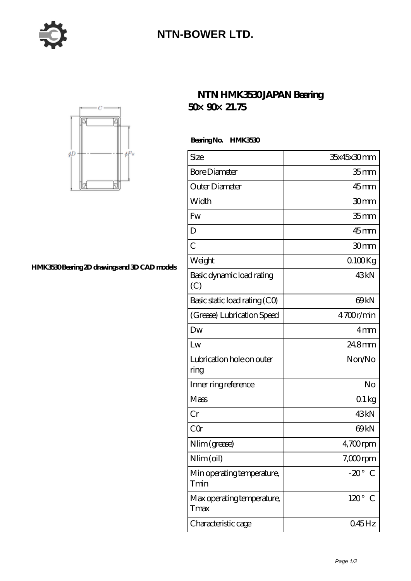

## **[NTN-BOWER LTD.](https://moreymansion.com)**



## **[HMK3530 Bearing 2D drawings and 3D CAD models](https://moreymansion.com/pic-306192.html)**

## **[NTN HMK3530 JAPAN Bearing](https://moreymansion.com/bb-306192-ntn-hmk3530-japan-bearing-50-90-21-75.html) [50×90×21.75](https://moreymansion.com/bb-306192-ntn-hmk3530-japan-bearing-50-90-21-75.html)**

 **Bearing No. HMK3530**

| Size                               | 35x45x30mm         |
|------------------------------------|--------------------|
| <b>Bore Diameter</b>               | 35 mm              |
| Outer Diameter                     | $45$ mm            |
| Width                              | 30mm               |
| Fw                                 | 35 <sub>mm</sub>   |
| D                                  | $45$ <sub>mm</sub> |
| $\overline{C}$                     | 30mm               |
| Weight                             | $0100$ Kg          |
| Basic dynamic load rating<br>(C)   | 43kN               |
| Basic static load rating (CO)      | 69 <sub>kN</sub>   |
| (Grease) Lubrication Speed         | 4700r/min          |
| Dw                                 | 4mm                |
| Lw                                 | 24.8mm             |
| Lubrication hole on outer<br>ring  | Non/No             |
| Inner ring reference               | No                 |
| Mass                               | 01kg               |
| Cr                                 | 43 <sub>kN</sub>   |
| CQr                                | 69 <sub>kN</sub>   |
| Nlim (grease)                      | $4,700$ rpm        |
| Nlim (oil)                         | $7,000$ rpm        |
| Min operating temperature,<br>Tmin | $-20^\circ$<br>€   |
| Max operating temperature,<br>Tmax | $120^\circ$<br>€   |
| Characteristic cage                | $045$ Hz           |